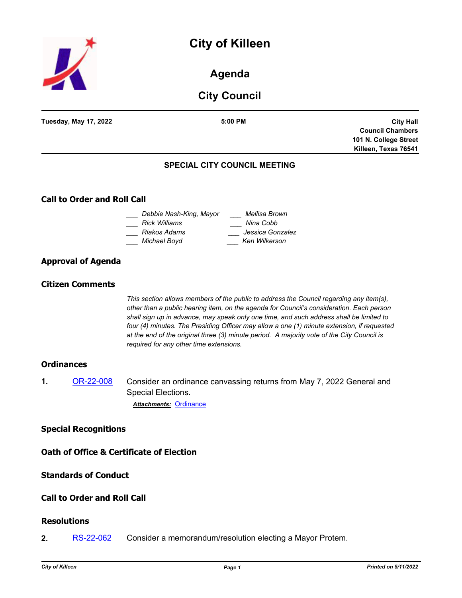# **City of Killeen**



**Agenda**

# **City Council**

| <b>Tuesday, May 17, 2022</b>       | 5:00 PM                             | <b>City Hall</b>        |
|------------------------------------|-------------------------------------|-------------------------|
|                                    |                                     | <b>Council Chambers</b> |
|                                    |                                     | 101 N. College Street   |
|                                    |                                     | Killeen, Texas 76541    |
|                                    | <b>SPECIAL CITY COUNCIL MEETING</b> |                         |
| <b>Call to Order and Roll Call</b> |                                     |                         |

# **Call to Order and Roll Call**

| Debbie Nash-King, Mayor | Mellisa Brown    |
|-------------------------|------------------|
| Rick Williams           | Nina Cobb        |
| Riakos Adams            | Jessica Gonzalez |
| Michael Boyd            | Ken Wilkerson    |
|                         |                  |

# **Approval of Agenda**

#### **Citizen Comments**

*This section allows members of the public to address the Council regarding any item(s), other than a public hearing item, on the agenda for Council's consideration. Each person shall sign up in advance, may speak only one time, and such address shall be limited to four (4) minutes. The Presiding Officer may allow a one (1) minute extension, if requested at the end of the original three (3) minute period. A majority vote of the City Council is required for any other time extensions.*

#### **Ordinances**

**1.** [OR-22-008](http://killeen.legistar.com/gateway.aspx?m=l&id=/matter.aspx?key=6107) Consider an ordinance canvassing returns from May 7, 2022 General and Special Elections. *Attachments:* [Ordinance](http://killeen.legistar.com/gateway.aspx?M=F&ID=c44bfbb8-ed78-41b4-af22-d1671222b09d.pdf)

#### **Special Recognitions**

**Oath of Office & Certificate of Election**

# **Standards of Conduct**

## **Call to Order and Roll Call**

#### **Resolutions**

**2.** [RS-22-062](http://killeen.legistar.com/gateway.aspx?m=l&id=/matter.aspx?key=6108) Consider a memorandum/resolution electing a Mayor Protem.